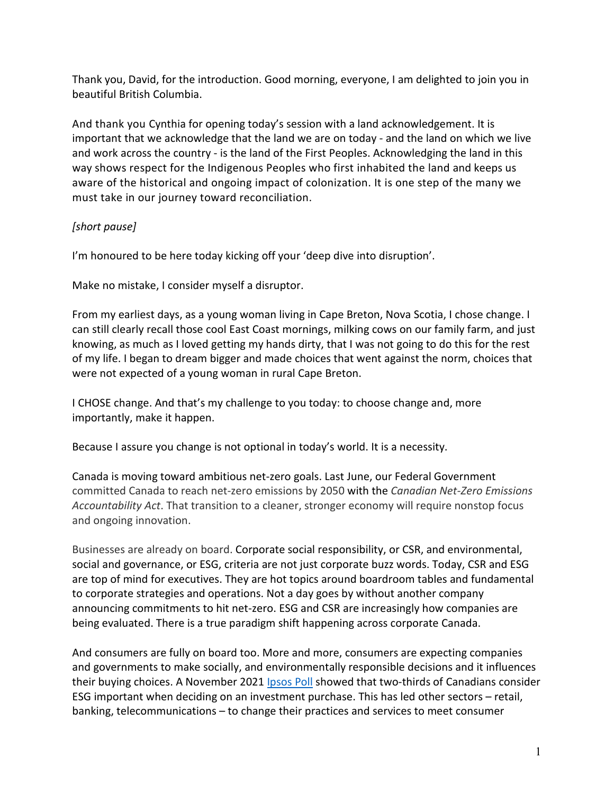Thank you, David, for the introduction. Good morning, everyone, I am delighted to join you in beautiful British Columbia.

And thank you Cynthia for opening today's session with a land acknowledgement. It is important that we acknowledge that the land we are on today - and the land on which we live and work across the country - is the land of the First Peoples. Acknowledging the land in this way shows respect for the Indigenous Peoples who first inhabited the land and keeps us aware of the historical and ongoing impact of colonization. It is one step of the many we must take in our journey toward reconciliation.

## *[short pause]*

I'm honoured to be here today kicking off your 'deep dive into disruption'.

Make no mistake, I consider myself a disruptor.

From my earliest days, as a young woman living in Cape Breton, Nova Scotia, I chose change. I can still clearly recall those cool East Coast mornings, milking cows on our family farm, and just knowing, as much as I loved getting my hands dirty, that I was not going to do this for the rest of my life. I began to dream bigger and made choices that went against the norm, choices that were not expected of a young woman in rural Cape Breton.

I CHOSE change. And that's my challenge to you today: to choose change and, more importantly, make it happen.

Because I assure you change is not optional in today's world. It is a necessity.

Canada is moving toward ambitious net-zero goals. Last June, our Federal Government committed Canada to reach net-zero emissions by 2050 with the *Canadian Net-Zero Emissions Accountability Act*. That transition to a cleaner, stronger economy will require nonstop focus and ongoing innovation.

Businesses are already on board. Corporate social responsibility, or CSR, and environmental, social and governance, or ESG, criteria are not just corporate buzz words. Today, CSR and ESG are top of mind for executives. They are hot topics around boardroom tables and fundamental to corporate strategies and operations. Not a day goes by without another company announcing commitments to hit net-zero. ESG and CSR are increasingly how companies are being evaluated. There is a true paradigm shift happening across corporate Canada.

And consumers are fully on board too. More and more, consumers are expecting companies and governments to make socially, and environmentally responsible decisions and it influences their buying choices. A November 2021 [Ipsos Poll](https://www.ipsos.com/en-ca/news-polls/two-thirds-of-canadians-consider-esg-important-factors-when-deciding-on-investment-purchases) showed that two-thirds of Canadians consider ESG important when deciding on an investment purchase. This has led other sectors – retail, banking, telecommunications – to change their practices and services to meet consumer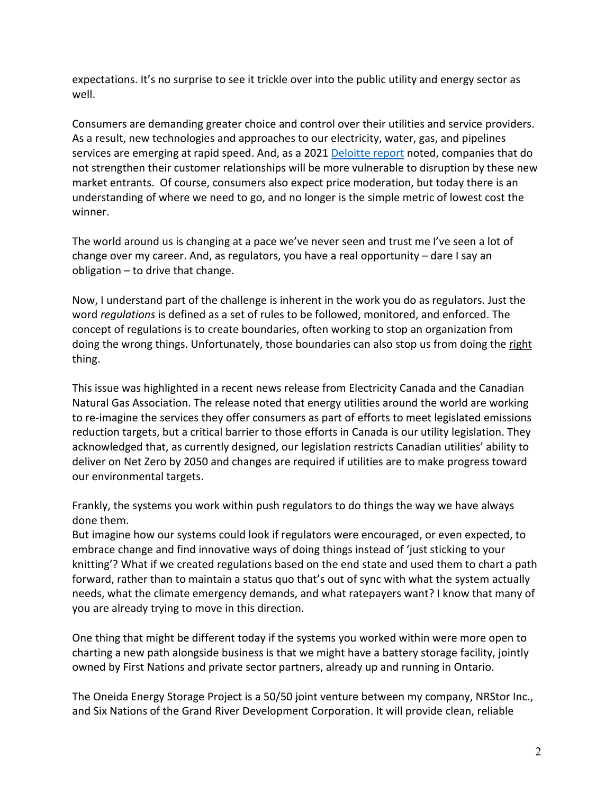expectations. It's no surprise to see it trickle over into the public utility and energy sector as well.

Consumers are demanding greater choice and control over their utilities and service providers. As a result, new technologies and approaches to our electricity, water, gas, and pipelines services are emerging at rapid speed. And, as a 2021 [Deloitte report](https://www2.deloitte.com/content/dam/Deloitte/ca/Documents/energy-resources/ca-energy-and-resources-en-utilities-new-era-customer-choice-aoda.pdf) noted, companies that do not strengthen their customer relationships will be more vulnerable to disruption by these new market entrants. Of course, consumers also expect price moderation, but today there is an understanding of where we need to go, and no longer is the simple metric of lowest cost the winner.

The world around us is changing at a pace we've never seen and trust me I've seen a lot of change over my career. And, as regulators, you have a real opportunity – dare I say an obligation – to drive that change.

Now, I understand part of the challenge is inherent in the work you do as regulators. Just the word *regulations* is defined as a set of rules to be followed, monitored, and enforced. The concept of regulations is to create boundaries, often working to stop an organization from doing the wrong things. Unfortunately, those boundaries can also stop us from doing the right thing.

This issue was highlighted in a recent news release from Electricity Canada and the Canadian Natural Gas Association. The release noted that energy utilities around the world are working to re-imagine the services they offer consumers as part of efforts to meet legislated emissions reduction targets, but a critical barrier to those efforts in Canada is our utility legislation. They acknowledged that, as currently designed, our legislation restricts Canadian utilities' ability to deliver on Net Zero by 2050 and changes are required if utilities are to make progress toward our environmental targets.

Frankly, the systems you work within push regulators to do things the way we have always done them.

But imagine how our systems could look if regulators were encouraged, or even expected, to embrace change and find innovative ways of doing things instead of 'just sticking to your knitting'? What if we created regulations based on the end state and used them to chart a path forward, rather than to maintain a status quo that's out of sync with what the system actually needs, what the climate emergency demands, and what ratepayers want? I know that many of you are already trying to move in this direction.

One thing that might be different today if the systems you worked within were more open to charting a new path alongside business is that we might have a battery storage facility, jointly owned by First Nations and private sector partners, already up and running in Ontario.

The Oneida Energy Storage Project is a 50/50 joint venture between my company, NRStor Inc., and Six Nations of the Grand River Development Corporation. It will provide clean, reliable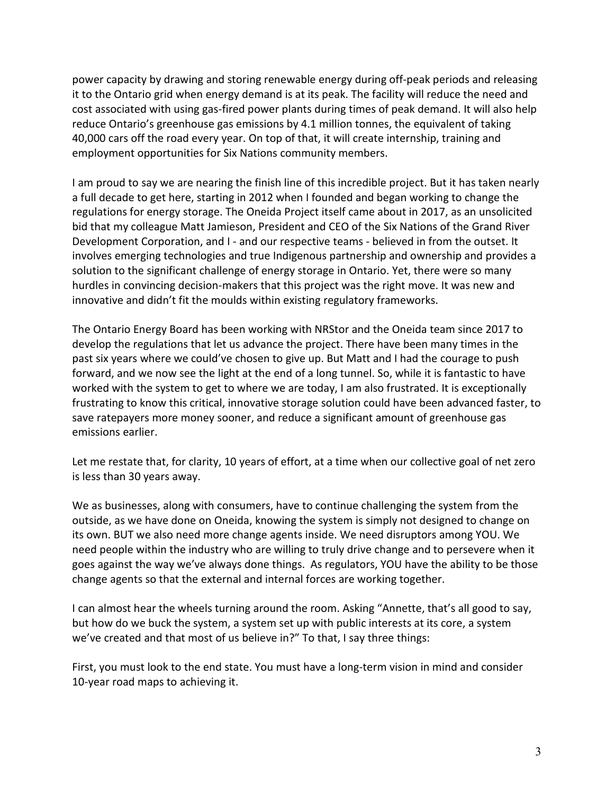power capacity by drawing and storing renewable energy during off-peak periods and releasing it to the Ontario grid when energy demand is at its peak. The facility will reduce the need and cost associated with using gas-fired power plants during times of peak demand. It will also help reduce Ontario's greenhouse gas emissions by 4.1 million tonnes, the equivalent of taking 40,000 cars off the road every year. On top of that, it will create internship, training and employment opportunities for Six Nations community members.

I am proud to say we are nearing the finish line of this incredible project. But it has taken nearly a full decade to get here, starting in 2012 when I founded and began working to change the regulations for energy storage. The Oneida Project itself came about in 2017, as an unsolicited bid that my colleague Matt Jamieson, President and CEO of the Six Nations of the Grand River Development Corporation, and I - and our respective teams - believed in from the outset. It involves emerging technologies and true Indigenous partnership and ownership and provides a solution to the significant challenge of energy storage in Ontario. Yet, there were so many hurdles in convincing decision-makers that this project was the right move. It was new and innovative and didn't fit the moulds within existing regulatory frameworks.

The Ontario Energy Board has been working with NRStor and the Oneida team since 2017 to develop the regulations that let us advance the project. There have been many times in the past six years where we could've chosen to give up. But Matt and I had the courage to push forward, and we now see the light at the end of a long tunnel. So, while it is fantastic to have worked with the system to get to where we are today, I am also frustrated. It is exceptionally frustrating to know this critical, innovative storage solution could have been advanced faster, to save ratepayers more money sooner, and reduce a significant amount of greenhouse gas emissions earlier.

Let me restate that, for clarity, 10 years of effort, at a time when our collective goal of net zero is less than 30 years away.

We as businesses, along with consumers, have to continue challenging the system from the outside, as we have done on Oneida, knowing the system is simply not designed to change on its own. BUT we also need more change agents inside. We need disruptors among YOU. We need people within the industry who are willing to truly drive change and to persevere when it goes against the way we've always done things. As regulators, YOU have the ability to be those change agents so that the external and internal forces are working together.

I can almost hear the wheels turning around the room. Asking "Annette, that's all good to say, but how do we buck the system, a system set up with public interests at its core, a system we've created and that most of us believe in?" To that, I say three things:

First, you must look to the end state. You must have a long-term vision in mind and consider 10-year road maps to achieving it.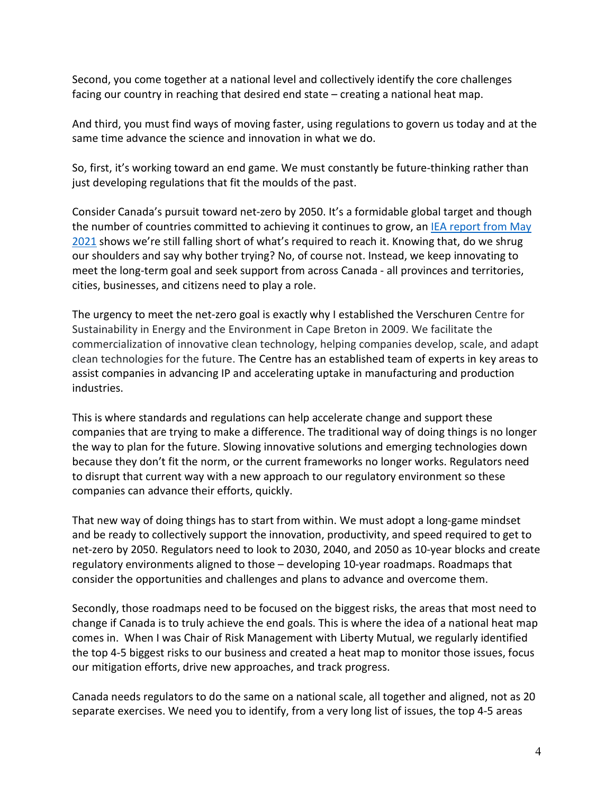Second, you come together at a national level and collectively identify the core challenges facing our country in reaching that desired end state – creating a national heat map.

And third, you must find ways of moving faster, using regulations to govern us today and at the same time advance the science and innovation in what we do.

So, first, it's working toward an end game. We must constantly be future-thinking rather than just developing regulations that fit the moulds of the past.

Consider Canada's pursuit toward net-zero by 2050. It's a formidable global target and though the number of countries committed to achieving it continues to grow, an IEA report from May [2021](https://www.iea.org/reports/net-zero-by-2050) shows we're still falling short of what's required to reach it. Knowing that, do we shrug our shoulders and say why bother trying? No, of course not. Instead, we keep innovating to meet the long-term goal and seek support from across Canada - all provinces and territories, cities, businesses, and citizens need to play a role.

The urgency to meet the net-zero goal is exactly why I established the Verschuren Centre for Sustainability in Energy and the Environment in Cape Breton in 2009. We facilitate the commercialization of innovative clean technology, helping companies develop, scale, and adapt clean technologies for the future. The Centre has an established team of experts in key areas to assist companies in advancing IP and accelerating uptake in manufacturing and production industries.

This is where standards and regulations can help accelerate change and support these companies that are trying to make a difference. The traditional way of doing things is no longer the way to plan for the future. Slowing innovative solutions and emerging technologies down because they don't fit the norm, or the current frameworks no longer works. Regulators need to disrupt that current way with a new approach to our regulatory environment so these companies can advance their efforts, quickly.

That new way of doing things has to start from within. We must adopt a long-game mindset and be ready to collectively support the innovation, productivity, and speed required to get to net-zero by 2050. Regulators need to look to 2030, 2040, and 2050 as 10-year blocks and create regulatory environments aligned to those – developing 10-year roadmaps. Roadmaps that consider the opportunities and challenges and plans to advance and overcome them.

Secondly, those roadmaps need to be focused on the biggest risks, the areas that most need to change if Canada is to truly achieve the end goals. This is where the idea of a national heat map comes in. When I was Chair of Risk Management with Liberty Mutual, we regularly identified the top 4-5 biggest risks to our business and created a heat map to monitor those issues, focus our mitigation efforts, drive new approaches, and track progress.

Canada needs regulators to do the same on a national scale, all together and aligned, not as 20 separate exercises. We need you to identify, from a very long list of issues, the top 4-5 areas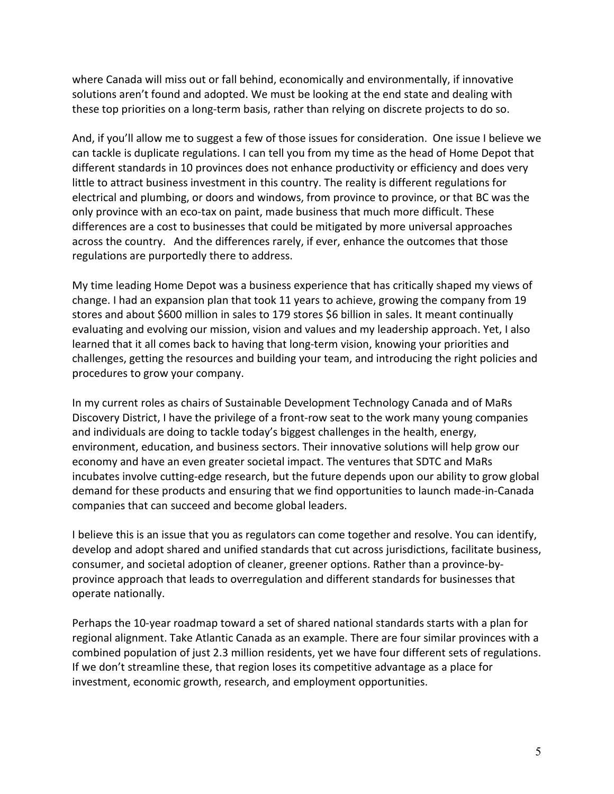where Canada will miss out or fall behind, economically and environmentally, if innovative solutions aren't found and adopted. We must be looking at the end state and dealing with these top priorities on a long-term basis, rather than relying on discrete projects to do so.

And, if you'll allow me to suggest a few of those issues for consideration. One issue I believe we can tackle is duplicate regulations. I can tell you from my time as the head of Home Depot that different standards in 10 provinces does not enhance productivity or efficiency and does very little to attract business investment in this country. The reality is different regulations for electrical and plumbing, or doors and windows, from province to province, or that BC was the only province with an eco-tax on paint, made business that much more difficult. These differences are a cost to businesses that could be mitigated by more universal approaches across the country. And the differences rarely, if ever, enhance the outcomes that those regulations are purportedly there to address.

My time leading Home Depot was a business experience that has critically shaped my views of change. I had an expansion plan that took 11 years to achieve, growing the company from 19 stores and about \$600 million in sales to 179 stores \$6 billion in sales. It meant continually evaluating and evolving our mission, vision and values and my leadership approach. Yet, I also learned that it all comes back to having that long-term vision, knowing your priorities and challenges, getting the resources and building your team, and introducing the right policies and procedures to grow your company.

In my current roles as chairs of Sustainable Development Technology Canada and of MaRs Discovery District, I have the privilege of a front-row seat to the work many young companies and individuals are doing to tackle today's biggest challenges in the health, energy, environment, education, and business sectors. Their innovative solutions will help grow our economy and have an even greater societal impact. The ventures that SDTC and MaRs incubates involve cutting-edge research, but the future depends upon our ability to grow global demand for these products and ensuring that we find opportunities to launch made-in-Canada companies that can succeed and become global leaders.

I believe this is an issue that you as regulators can come together and resolve. You can identify, develop and adopt shared and unified standards that cut across jurisdictions, facilitate business, consumer, and societal adoption of cleaner, greener options. Rather than a province-byprovince approach that leads to overregulation and different standards for businesses that operate nationally.

Perhaps the 10-year roadmap toward a set of shared national standards starts with a plan for regional alignment. Take Atlantic Canada as an example. There are four similar provinces with a combined population of just 2.3 million residents, yet we have four different sets of regulations. If we don't streamline these, that region loses its competitive advantage as a place for investment, economic growth, research, and employment opportunities.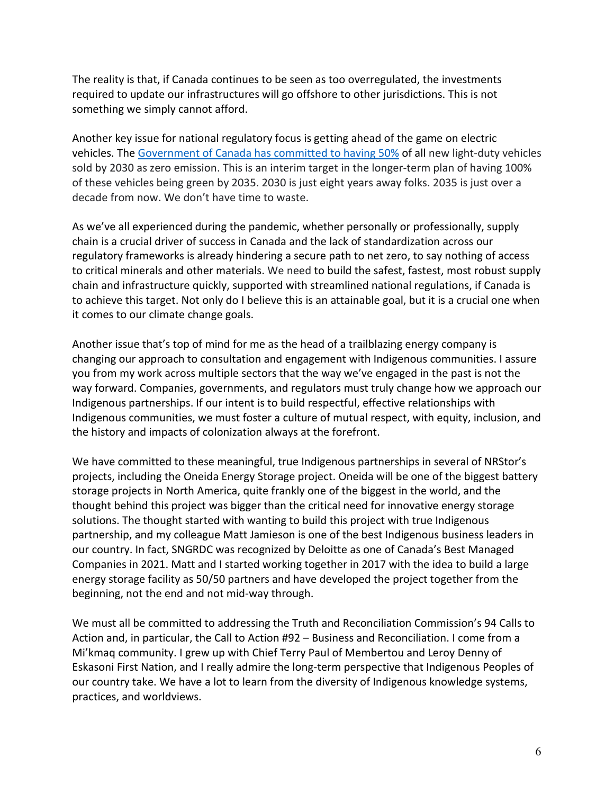The reality is that, if Canada continues to be seen as too overregulated, the investments required to update our infrastructures will go offshore to other jurisdictions. This is not something we simply cannot afford.

Another key issue for national regulatory focus is getting ahead of the game on electric vehicles. The [Government of Canada has committed](https://www.nrcan.gc.ca/energy-efficiency/transportation-alternative-fuels/zero-emission-vehicle-infrastructure-program/21876) to having 50% of all new light-duty vehicles sold by 2030 as zero emission. This is an interim target in the longer-term plan of having 100% of these vehicles being green by 2035. 2030 is just eight years away folks. 2035 is just over a decade from now. We don't have time to waste.

As we've all experienced during the pandemic, whether personally or professionally, supply chain is a crucial driver of success in Canada and the lack of standardization across our regulatory frameworks is already hindering a secure path to net zero, to say nothing of access to critical minerals and other materials. We need to build the safest, fastest, most robust supply chain and infrastructure quickly, supported with streamlined national regulations, if Canada is to achieve this target. Not only do I believe this is an attainable goal, but it is a crucial one when it comes to our climate change goals.

Another issue that's top of mind for me as the head of a trailblazing energy company is changing our approach to consultation and engagement with Indigenous communities. I assure you from my work across multiple sectors that the way we've engaged in the past is not the way forward. Companies, governments, and regulators must truly change how we approach our Indigenous partnerships. If our intent is to build respectful, effective relationships with Indigenous communities, we must foster a culture of mutual respect, with equity, inclusion, and the history and impacts of colonization always at the forefront.

We have committed to these meaningful, true Indigenous partnerships in several of NRStor's projects, including the Oneida Energy Storage project. Oneida will be one of the biggest battery storage projects in North America, quite frankly one of the biggest in the world, and the thought behind this project was bigger than the critical need for innovative energy storage solutions. The thought started with wanting to build this project with true Indigenous partnership, and my colleague Matt Jamieson is one of the best Indigenous business leaders in our country. In fact, SNGRDC was recognized by Deloitte as one of Canada's Best Managed Companies in 2021. Matt and I started working together in 2017 with the idea to build a large energy storage facility as 50/50 partners and have developed the project together from the beginning, not the end and not mid-way through.

We must all be committed to addressing the Truth and Reconciliation Commission's 94 Calls to Action and, in particular, the Call to Action #92 – Business and Reconciliation. I come from a Mi'kmaq community. I grew up with Chief Terry Paul of Membertou and Leroy Denny of Eskasoni First Nation, and I really admire the long-term perspective that Indigenous Peoples of our country take. We have a lot to learn from the diversity of Indigenous knowledge systems, practices, and worldviews.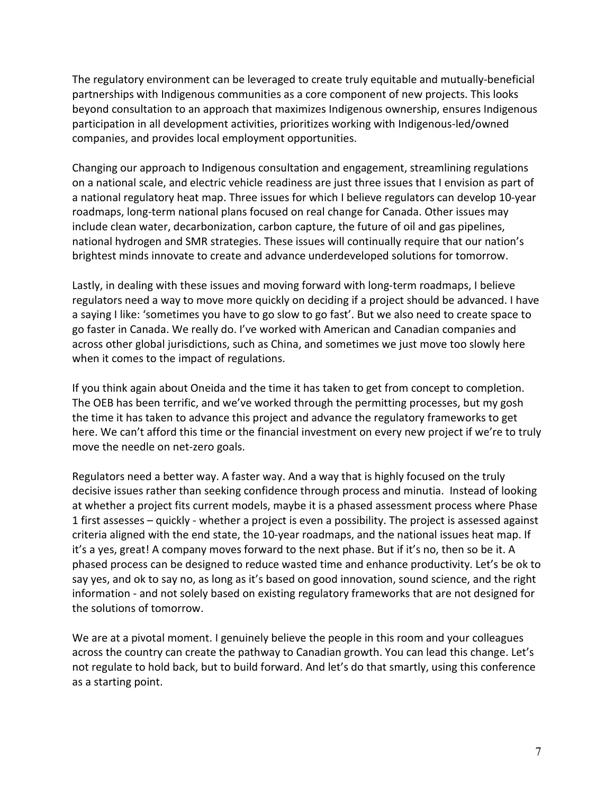The regulatory environment can be leveraged to create truly equitable and mutually-beneficial partnerships with Indigenous communities as a core component of new projects. This looks beyond consultation to an approach that maximizes Indigenous ownership, ensures Indigenous participation in all development activities, prioritizes working with Indigenous-led/owned companies, and provides local employment opportunities.

Changing our approach to Indigenous consultation and engagement, streamlining regulations on a national scale, and electric vehicle readiness are just three issues that I envision as part of a national regulatory heat map. Three issues for which I believe regulators can develop 10-year roadmaps, long-term national plans focused on real change for Canada. Other issues may include clean water, decarbonization, carbon capture, the future of oil and gas pipelines, national hydrogen and SMR strategies. These issues will continually require that our nation's brightest minds innovate to create and advance underdeveloped solutions for tomorrow.

Lastly, in dealing with these issues and moving forward with long-term roadmaps, I believe regulators need a way to move more quickly on deciding if a project should be advanced. I have a saying I like: 'sometimes you have to go slow to go fast'. But we also need to create space to go faster in Canada. We really do. I've worked with American and Canadian companies and across other global jurisdictions, such as China, and sometimes we just move too slowly here when it comes to the impact of regulations.

If you think again about Oneida and the time it has taken to get from concept to completion. The OEB has been terrific, and we've worked through the permitting processes, but my gosh the time it has taken to advance this project and advance the regulatory frameworks to get here. We can't afford this time or the financial investment on every new project if we're to truly move the needle on net-zero goals.

Regulators need a better way. A faster way. And a way that is highly focused on the truly decisive issues rather than seeking confidence through process and minutia. Instead of looking at whether a project fits current models, maybe it is a phased assessment process where Phase 1 first assesses – quickly - whether a project is even a possibility. The project is assessed against criteria aligned with the end state, the 10-year roadmaps, and the national issues heat map. If it's a yes, great! A company moves forward to the next phase. But if it's no, then so be it. A phased process can be designed to reduce wasted time and enhance productivity. Let's be ok to say yes, and ok to say no, as long as it's based on good innovation, sound science, and the right information - and not solely based on existing regulatory frameworks that are not designed for the solutions of tomorrow.

We are at a pivotal moment. I genuinely believe the people in this room and your colleagues across the country can create the pathway to Canadian growth. You can lead this change. Let's not regulate to hold back, but to build forward. And let's do that smartly, using this conference as a starting point.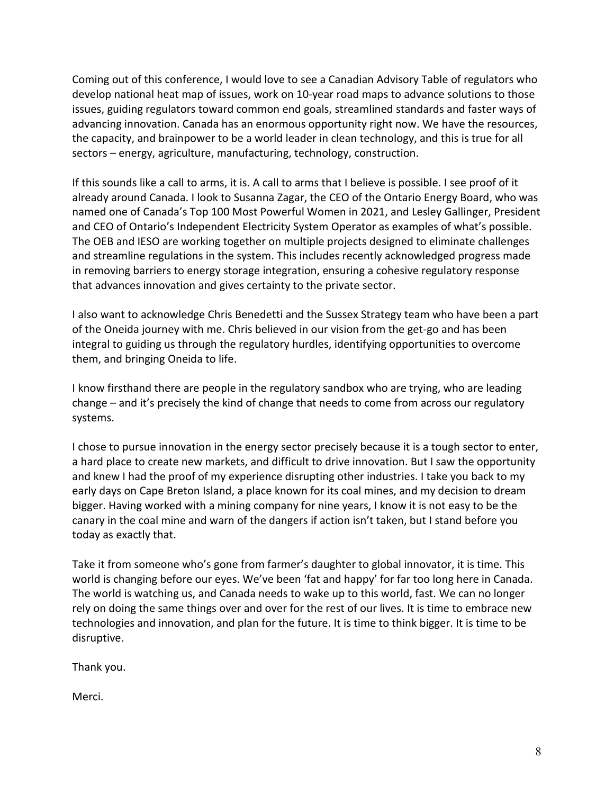Coming out of this conference, I would love to see a Canadian Advisory Table of regulators who develop national heat map of issues, work on 10-year road maps to advance solutions to those issues, guiding regulators toward common end goals, streamlined standards and faster ways of advancing innovation. Canada has an enormous opportunity right now. We have the resources, the capacity, and brainpower to be a world leader in clean technology, and this is true for all sectors – energy, agriculture, manufacturing, technology, construction.

If this sounds like a call to arms, it is. A call to arms that I believe is possible. I see proof of it already around Canada. I look to Susanna Zagar, the CEO of the Ontario Energy Board, who was named one of Canada's Top 100 Most Powerful Women in 2021, and Lesley Gallinger, President and CEO of Ontario's Independent Electricity System Operator as examples of what's possible. The OEB and IESO are working together on multiple projects designed to eliminate challenges and streamline regulations in the system. This includes recently acknowledged progress made in removing barriers to energy storage integration, ensuring a cohesive regulatory response that advances innovation and gives certainty to the private sector.

I also want to acknowledge Chris Benedetti and the Sussex Strategy team who have been a part of the Oneida journey with me. Chris believed in our vision from the get-go and has been integral to guiding us through the regulatory hurdles, identifying opportunities to overcome them, and bringing Oneida to life.

I know firsthand there are people in the regulatory sandbox who are trying, who are leading change – and it's precisely the kind of change that needs to come from across our regulatory systems.

I chose to pursue innovation in the energy sector precisely because it is a tough sector to enter, a hard place to create new markets, and difficult to drive innovation. But I saw the opportunity and knew I had the proof of my experience disrupting other industries. I take you back to my early days on Cape Breton Island, a place known for its coal mines, and my decision to dream bigger. Having worked with a mining company for nine years, I know it is not easy to be the canary in the coal mine and warn of the dangers if action isn't taken, but I stand before you today as exactly that.

Take it from someone who's gone from farmer's daughter to global innovator, it is time. This world is changing before our eyes. We've been 'fat and happy' for far too long here in Canada. The world is watching us, and Canada needs to wake up to this world, fast. We can no longer rely on doing the same things over and over for the rest of our lives. It is time to embrace new technologies and innovation, and plan for the future. It is time to think bigger. It is time to be disruptive.

Thank you.

Merci.